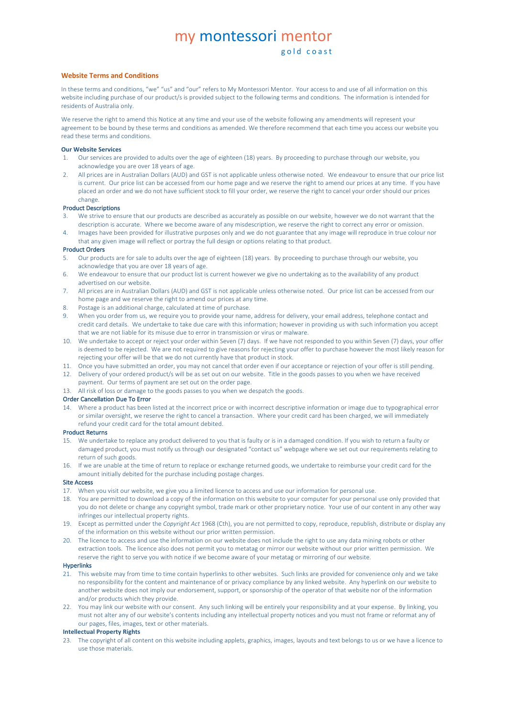# my montessori mentor

# **Website Terms and Conditions**

In these terms and conditions, "we" "us" and "our" refers to My Montessori Mentor. Your access to and use of all information on this website including purchase of our product/s is provided subject to the following terms and conditions. The information is intended for residents of Australia only.

We reserve the right to amend this Notice at any time and your use of the website following any amendments will represent your agreement to be bound by these terms and conditions as amended. We therefore recommend that each time you access our website you read these terms and conditions.

#### **Our Website Services**

- 1. Our services are provided to adults over the age of eighteen (18) years. By proceeding to purchase through our website, you acknowledge you are over 18 years of age.
- 2. All prices are in Australian Dollars (AUD) and GST is not applicable unless otherwise noted. We endeavour to ensure that our price list is current. Our price list can be accessed from our home page and we reserve the right to amend our prices at any time. If you have placed an order and we do not have sufficient stock to fill your order, we reserve the right to cancel your order should our prices change.

## Product Descriptions

- 3. We strive to ensure that our products are described as accurately as possible on our website, however we do not warrant that the description is accurate. Where we become aware of any misdescription, we reserve the right to correct any error or omission.
- 4. Images have been provided for illustrative purposes only and we do not guarantee that any image will reproduce in true colour nor that any given image will reflect or portray the full design or options relating to that product.

# Product Orders

- 5. Our products are for sale to adults over the age of eighteen (18) years. By proceeding to purchase through our website, you acknowledge that you are over 18 years of age.
- 6. We endeavour to ensure that our product list is current however we give no undertaking as to the availability of any product advertised on our website.
- 7. All prices are in Australian Dollars (AUD) and GST is not applicable unless otherwise noted. Our price list can be accessed from our home page and we reserve the right to amend our prices at any time.
- 8. Postage is an additional charge, calculated at time of purchase.
- 9. When you order from us, we require you to provide your name, address for delivery, your email address, telephone contact and credit card details. We undertake to take due care with this information; however in providing us with such information you accept that we are not liable for its misuse due to error in transmission or virus or malware.
- 10. We undertake to accept or reject your order within Seven (7) days. If we have not responded to you within Seven (7) days, your offer is deemed to be rejected. We are not required to give reasons for rejecting your offer to purchase however the most likely reason for rejecting your offer will be that we do not currently have that product in stock.
- 11. Once you have submitted an order, you may not cancel that order even if our acceptance or rejection of your offer is still pending. 12. Delivery of your ordered product/s will be as set out on our website. Title in the goods passes to you when we have received
- payment. Our terms of payment are set out on the order page. 13. All risk of loss or damage to the goods passes to you when we despatch the goods.

#### Order Cancellation Due To Error

14. Where a product has been listed at the incorrect price or with incorrect descriptive information or image due to typographical error or similar oversight, we reserve the right to cancel a transaction. Where your credit card has been charged, we will immediately refund your credit card for the total amount debited.

# Product Returns

- 15. We undertake to replace any product delivered to you that is faulty or is in a damaged condition. If you wish to return a faulty or damaged product, you must notify us through our designated "contact us" webpage where we set out our requirements relating to return of such goods.
- 16. If we are unable at the time of return to replace or exchange returned goods, we undertake to reimburse your credit card for the amount initially debited for the purchase including postage charges.

# Site Access

- 17. When you visit our website, we give you a limited licence to access and use our information for personal use.
- 18. You are permitted to download a copy of the information on this website to your computer for your personal use only provided that you do not delete or change any copyright symbol, trade mark or other proprietary notice. Your use of our content in any other way infringes our intellectual property rights.
- 19. Except as permitted under the *Copyright Act* 1968 (Cth), you are not permitted to copy, reproduce, republish, distribute or display any of the information on this website without our prior written permission.
- The licence to access and use the information on our website does not include the right to use any data mining robots or other extraction tools. The licence also does not permit you to metatag or mirror our website without our prior written permission. We reserve the right to serve you with notice if we become aware of your metatag or mirroring of our website.

#### Hyperlinks

- 21. This website may from time to time contain hyperlinks to other websites. Such links are provided for convenience only and we take no responsibility for the content and maintenance of or privacy compliance by any linked website. Any hyperlink on our website to another website does not imply our endorsement, support, or sponsorship of the operator of that website nor of the information and/or products which they provide.
- 22. You may link our website with our consent. Any such linking will be entirely your responsibility and at your expense. By linking, you must not alter any of our website's contents including any intellectual property notices and you must not frame or reformat any of our pages, files, images, text or other materials.

# **Intellectual Property Rights**

23. The copyright of all content on this website including applets, graphics, images, layouts and text belongs to us or we have a licence to use those materials.